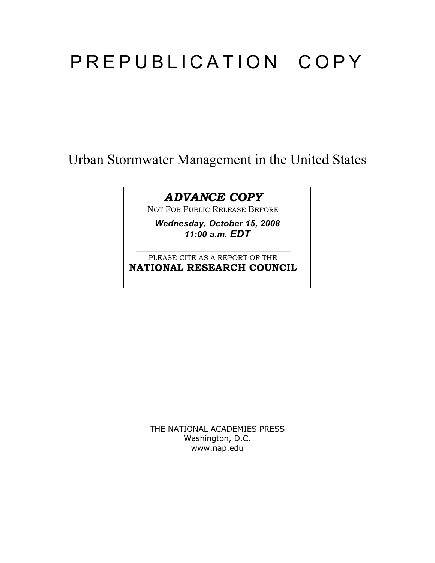# PREPUBLICATION COPY

Urban Stormwater Management in the United States

# *ADVANCE COPY*

NOT FOR PUBLIC RELEASE BEFORE

*Wednesday, October 15, 2008 11:00 a.m. EDT*

PLEASE CITE AS A REPORT OF THE **NATIONAL RESEARCH COUNCIL** 

> THE NATIONAL ACADEMIES PRESS Washington, D.C. www.nap.edu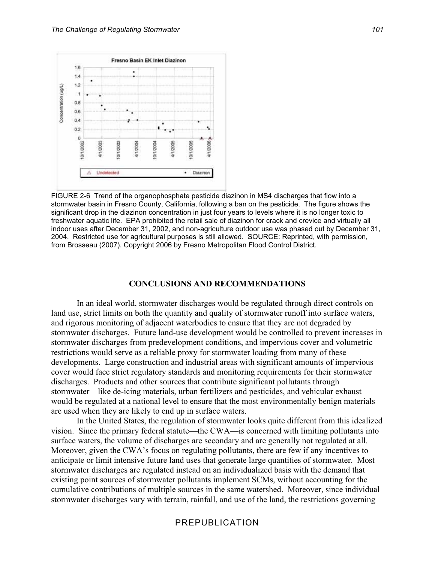

FIGURE 2-6 Trend of the organophosphate pesticide diazinon in MS4 discharges that flow into a stormwater basin in Fresno County, California, following a ban on the pesticide. The figure shows the significant drop in the diazinon concentration in just four years to levels where it is no longer toxic to freshwater aquatic life. EPA prohibited the retail sale of diazinon for crack and crevice and virtually all indoor uses after December 31, 2002, and non-agriculture outdoor use was phased out by December 31, 2004. Restricted use for agricultural purposes is still allowed. SOURCE: Reprinted, with permission, from Brosseau (2007). Copyright 2006 by Fresno Metropolitan Flood Control District.

#### **CONCLUSIONS AND RECOMMENDATIONS**

In an ideal world, stormwater discharges would be regulated through direct controls on land use, strict limits on both the quantity and quality of stormwater runoff into surface waters, and rigorous monitoring of adjacent waterbodies to ensure that they are not degraded by stormwater discharges. Future land-use development would be controlled to prevent increases in stormwater discharges from predevelopment conditions, and impervious cover and volumetric restrictions would serve as a reliable proxy for stormwater loading from many of these developments. Large construction and industrial areas with significant amounts of impervious cover would face strict regulatory standards and monitoring requirements for their stormwater discharges. Products and other sources that contribute significant pollutants through stormwater—like de-icing materials, urban fertilizers and pesticides, and vehicular exhaust would be regulated at a national level to ensure that the most environmentally benign materials are used when they are likely to end up in surface waters.

In the United States, the regulation of stormwater looks quite different from this idealized vision. Since the primary federal statute—the CWA—is concerned with limiting pollutants into surface waters, the volume of discharges are secondary and are generally not regulated at all. Moreover, given the CWA's focus on regulating pollutants, there are few if any incentives to anticipate or limit intensive future land uses that generate large quantities of stormwater. Most stormwater discharges are regulated instead on an individualized basis with the demand that existing point sources of stormwater pollutants implement SCMs, without accounting for the cumulative contributions of multiple sources in the same watershed. Moreover, since individual stormwater discharges vary with terrain, rainfall, and use of the land, the restrictions governing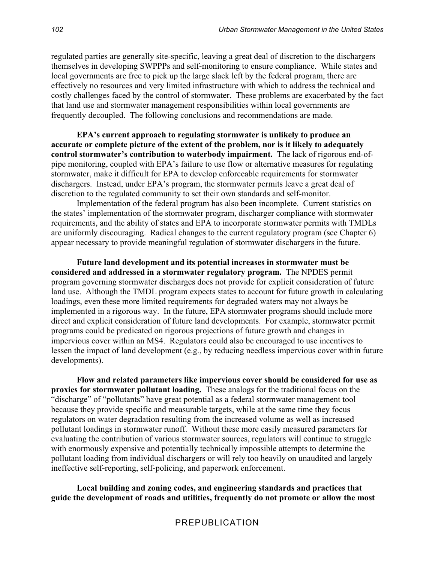regulated parties are generally site-specific, leaving a great deal of discretion to the dischargers themselves in developing SWPPPs and self-monitoring to ensure compliance. While states and local governments are free to pick up the large slack left by the federal program, there are effectively no resources and very limited infrastructure with which to address the technical and costly challenges faced by the control of stormwater. These problems are exacerbated by the fact that land use and stormwater management responsibilities within local governments are frequently decoupled. The following conclusions and recommendations are made.

**EPA's current approach to regulating stormwater is unlikely to produce an accurate or complete picture of the extent of the problem, nor is it likely to adequately control stormwater's contribution to waterbody impairment.** The lack of rigorous end-ofpipe monitoring, coupled with EPA's failure to use flow or alternative measures for regulating stormwater, make it difficult for EPA to develop enforceable requirements for stormwater dischargers. Instead, under EPA's program, the stormwater permits leave a great deal of discretion to the regulated community to set their own standards and self-monitor.

Implementation of the federal program has also been incomplete. Current statistics on the states' implementation of the stormwater program, discharger compliance with stormwater requirements, and the ability of states and EPA to incorporate stormwater permits with TMDLs are uniformly discouraging. Radical changes to the current regulatory program (see Chapter 6) appear necessary to provide meaningful regulation of stormwater dischargers in the future.

**Future land development and its potential increases in stormwater must be considered and addressed in a stormwater regulatory program.** The NPDES permit program governing stormwater discharges does not provide for explicit consideration of future land use. Although the TMDL program expects states to account for future growth in calculating loadings, even these more limited requirements for degraded waters may not always be implemented in a rigorous way. In the future, EPA stormwater programs should include more direct and explicit consideration of future land developments. For example, stormwater permit programs could be predicated on rigorous projections of future growth and changes in impervious cover within an MS4. Regulators could also be encouraged to use incentives to lessen the impact of land development (e.g., by reducing needless impervious cover within future developments).

**Flow and related parameters like impervious cover should be considered for use as proxies for stormwater pollutant loading.** These analogs for the traditional focus on the "discharge" of "pollutants" have great potential as a federal stormwater management tool because they provide specific and measurable targets, while at the same time they focus regulators on water degradation resulting from the increased volume as well as increased pollutant loadings in stormwater runoff. Without these more easily measured parameters for evaluating the contribution of various stormwater sources, regulators will continue to struggle with enormously expensive and potentially technically impossible attempts to determine the pollutant loading from individual dischargers or will rely too heavily on unaudited and largely ineffective self-reporting, self-policing, and paperwork enforcement.

**Local building and zoning codes, and engineering standards and practices that guide the development of roads and utilities, frequently do not promote or allow the most**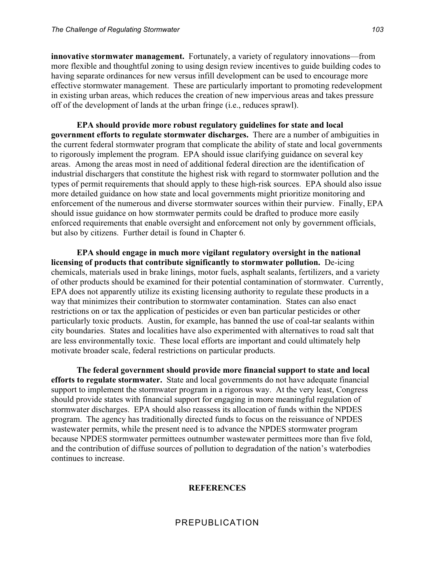**innovative stormwater management.** Fortunately, a variety of regulatory innovations—from more flexible and thoughtful zoning to using design review incentives to guide building codes to having separate ordinances for new versus infill development can be used to encourage more effective stormwater management. These are particularly important to promoting redevelopment in existing urban areas, which reduces the creation of new impervious areas and takes pressure off of the development of lands at the urban fringe (i.e., reduces sprawl).

**EPA should provide more robust regulatory guidelines for state and local government efforts to regulate stormwater discharges.** There are a number of ambiguities in the current federal stormwater program that complicate the ability of state and local governments to rigorously implement the program. EPA should issue clarifying guidance on several key areas. Among the areas most in need of additional federal direction are the identification of industrial dischargers that constitute the highest risk with regard to stormwater pollution and the types of permit requirements that should apply to these high-risk sources. EPA should also issue more detailed guidance on how state and local governments might prioritize monitoring and enforcement of the numerous and diverse stormwater sources within their purview. Finally, EPA should issue guidance on how stormwater permits could be drafted to produce more easily enforced requirements that enable oversight and enforcement not only by government officials, but also by citizens. Further detail is found in Chapter 6.

**EPA should engage in much more vigilant regulatory oversight in the national licensing of products that contribute significantly to stormwater pollution.** De-icing chemicals, materials used in brake linings, motor fuels, asphalt sealants, fertilizers, and a variety of other products should be examined for their potential contamination of stormwater. Currently, EPA does not apparently utilize its existing licensing authority to regulate these products in a way that minimizes their contribution to stormwater contamination. States can also enact restrictions on or tax the application of pesticides or even ban particular pesticides or other particularly toxic products. Austin, for example, has banned the use of coal-tar sealants within city boundaries. States and localities have also experimented with alternatives to road salt that are less environmentally toxic. These local efforts are important and could ultimately help motivate broader scale, federal restrictions on particular products.

**The federal government should provide more financial support to state and local efforts to regulate stormwater.** State and local governments do not have adequate financial support to implement the stormwater program in a rigorous way. At the very least, Congress should provide states with financial support for engaging in more meaningful regulation of stormwater discharges. EPA should also reassess its allocation of funds within the NPDES program. The agency has traditionally directed funds to focus on the reissuance of NPDES wastewater permits, while the present need is to advance the NPDES stormwater program because NPDES stormwater permittees outnumber wastewater permittees more than five fold, and the contribution of diffuse sources of pollution to degradation of the nation's waterbodies continues to increase.

#### **REFERENCES**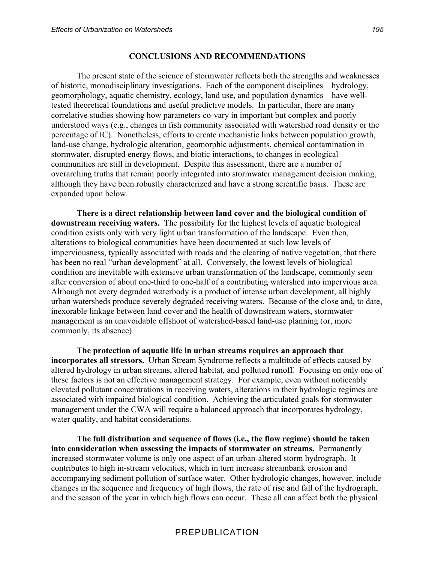#### **CONCLUSIONS AND RECOMMENDATIONS**

The present state of the science of stormwater reflects both the strengths and weaknesses of historic, monodisciplinary investigations. Each of the component disciplines—hydrology, geomorphology, aquatic chemistry, ecology, land use, and population dynamics—have welltested theoretical foundations and useful predictive models. In particular, there are many correlative studies showing how parameters co-vary in important but complex and poorly understood ways (e.g., changes in fish community associated with watershed road density or the percentage of IC). Nonetheless, efforts to create mechanistic links between population growth, land-use change, hydrologic alteration, geomorphic adjustments, chemical contamination in stormwater, disrupted energy flows, and biotic interactions, to changes in ecological communities are still in development. Despite this assessment, there are a number of overarching truths that remain poorly integrated into stormwater management decision making, although they have been robustly characterized and have a strong scientific basis. These are expanded upon below.

**There is a direct relationship between land cover and the biological condition of downstream receiving waters.** The possibility for the highest levels of aquatic biological condition exists only with very light urban transformation of the landscape. Even then, alterations to biological communities have been documented at such low levels of imperviousness, typically associated with roads and the clearing of native vegetation, that there has been no real "urban development" at all. Conversely, the lowest levels of biological condition are inevitable with extensive urban transformation of the landscape, commonly seen after conversion of about one-third to one-half of a contributing watershed into impervious area. Although not every degraded waterbody is a product of intense urban development, all highly urban watersheds produce severely degraded receiving waters. Because of the close and, to date, inexorable linkage between land cover and the health of downstream waters, stormwater management is an unavoidable offshoot of watershed-based land-use planning (or, more commonly, its absence).

**The protection of aquatic life in urban streams requires an approach that incorporates all stressors.** Urban Stream Syndrome reflects a multitude of effects caused by altered hydrology in urban streams, altered habitat, and polluted runoff. Focusing on only one of these factors is not an effective management strategy. For example, even without noticeably elevated pollutant concentrations in receiving waters, alterations in their hydrologic regimes are associated with impaired biological condition. Achieving the articulated goals for stormwater management under the CWA will require a balanced approach that incorporates hydrology, water quality, and habitat considerations.

**The full distribution and sequence of flows (i.e., the flow regime) should be taken into consideration when assessing the impacts of stormwater on streams.** Permanently increased stormwater volume is only one aspect of an urban-altered storm hydrograph. It contributes to high in-stream velocities, which in turn increase streambank erosion and accompanying sediment pollution of surface water. Other hydrologic changes, however, include changes in the sequence and frequency of high flows, the rate of rise and fall of the hydrograph, and the season of the year in which high flows can occur. These all can affect both the physical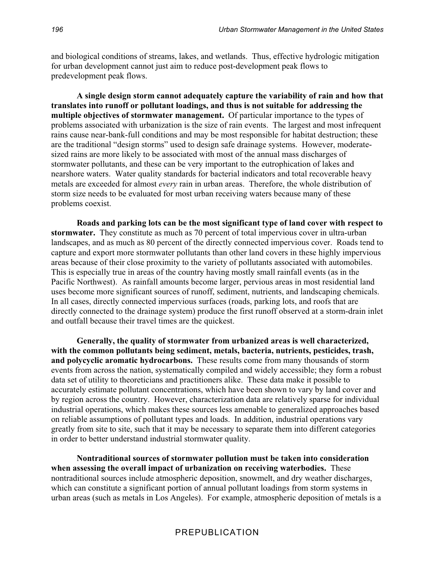and biological conditions of streams, lakes, and wetlands. Thus, effective hydrologic mitigation for urban development cannot just aim to reduce post-development peak flows to predevelopment peak flows.

**A single design storm cannot adequately capture the variability of rain and how that translates into runoff or pollutant loadings, and thus is not suitable for addressing the multiple objectives of stormwater management.** Of particular importance to the types of problems associated with urbanization is the size of rain events. The largest and most infrequent rains cause near-bank-full conditions and may be most responsible for habitat destruction; these are the traditional "design storms" used to design safe drainage systems. However, moderatesized rains are more likely to be associated with most of the annual mass discharges of stormwater pollutants, and these can be very important to the eutrophication of lakes and nearshore waters. Water quality standards for bacterial indicators and total recoverable heavy metals are exceeded for almost *every* rain in urban areas. Therefore, the whole distribution of storm size needs to be evaluated for most urban receiving waters because many of these problems coexist.

**Roads and parking lots can be the most significant type of land cover with respect to stormwater.** They constitute as much as 70 percent of total impervious cover in ultra-urban landscapes, and as much as 80 percent of the directly connected impervious cover. Roads tend to capture and export more stormwater pollutants than other land covers in these highly impervious areas because of their close proximity to the variety of pollutants associated with automobiles. This is especially true in areas of the country having mostly small rainfall events (as in the Pacific Northwest). As rainfall amounts become larger, pervious areas in most residential land uses become more significant sources of runoff, sediment, nutrients, and landscaping chemicals. In all cases, directly connected impervious surfaces (roads, parking lots, and roofs that are directly connected to the drainage system) produce the first runoff observed at a storm-drain inlet and outfall because their travel times are the quickest.

**Generally, the quality of stormwater from urbanized areas is well characterized, with the common pollutants being sediment, metals, bacteria, nutrients, pesticides, trash, and polycyclic aromatic hydrocarbons.** These results come from many thousands of storm events from across the nation, systematically compiled and widely accessible; they form a robust data set of utility to theoreticians and practitioners alike. These data make it possible to accurately estimate pollutant concentrations, which have been shown to vary by land cover and by region across the country. However, characterization data are relatively sparse for individual industrial operations, which makes these sources less amenable to generalized approaches based on reliable assumptions of pollutant types and loads. In addition, industrial operations vary greatly from site to site, such that it may be necessary to separate them into different categories in order to better understand industrial stormwater quality.

**Nontraditional sources of stormwater pollution must be taken into consideration when assessing the overall impact of urbanization on receiving waterbodies.** These nontraditional sources include atmospheric deposition, snowmelt, and dry weather discharges, which can constitute a significant portion of annual pollutant loadings from storm systems in urban areas (such as metals in Los Angeles). For example, atmospheric deposition of metals is a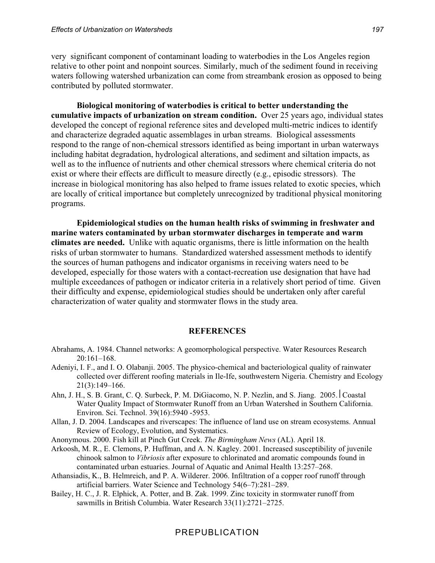very significant component of contaminant loading to waterbodies in the Los Angeles region relative to other point and nonpoint sources. Similarly, much of the sediment found in receiving waters following watershed urbanization can come from streambank erosion as opposed to being contributed by polluted stormwater.

**Biological monitoring of waterbodies is critical to better understanding the cumulative impacts of urbanization on stream condition.** Over 25 years ago, individual states developed the concept of regional reference sites and developed multi-metric indices to identify and characterize degraded aquatic assemblages in urban streams. Biological assessments respond to the range of non-chemical stressors identified as being important in urban waterways including habitat degradation, hydrological alterations, and sediment and siltation impacts, as well as to the influence of nutrients and other chemical stressors where chemical criteria do not exist or where their effects are difficult to measure directly (e.g., episodic stressors). The increase in biological monitoring has also helped to frame issues related to exotic species, which are locally of critical importance but completely unrecognized by traditional physical monitoring programs.

**Epidemiological studies on the human health risks of swimming in freshwater and marine waters contaminated by urban stormwater discharges in temperate and warm climates are needed.** Unlike with aquatic organisms, there is little information on the health risks of urban stormwater to humans. Standardized watershed assessment methods to identify the sources of human pathogens and indicator organisms in receiving waters need to be developed, especially for those waters with a contact-recreation use designation that have had multiple exceedances of pathogen or indicator criteria in a relatively short period of time. Given their difficulty and expense, epidemiological studies should be undertaken only after careful characterization of water quality and stormwater flows in the study area.

#### **REFERENCES**

- Abrahams, A. 1984. Channel networks: A geomorphological perspective. Water Resources Research 20:161–168.
- Adeniyi, I. F., and I. O. Olabanji. 2005. The physico-chemical and bacteriological quality of rainwater collected over different roofing materials in Ile-Ife, southwestern Nigeria. Chemistry and Ecology 21(3):149–166.
- Ahn, J. H., S. B. Grant, C. Q. Surbeck, P. M. DiGiacomo, N. P. Nezlin, and S. Jiang. 2005. Coastal Water Quality Impact of Stormwater Runoff from an Urban Watershed in Southern California. Environ. Sci. Technol. 39(16):5940 -5953.
- Allan, J. D. 2004. Landscapes and riverscapes: The influence of land use on stream ecosystems. Annual Review of Ecology, Evolution, and Systematics.
- Anonymous. 2000. Fish kill at Pinch Gut Creek. *The Birmingham News* (AL). April 18.
- Arkoosh, M. R., E. Clemons, P. Huffman, and A. N. Kagley. 2001. Increased susceptibility of juvenile chinook salmon to *Vibriosis* after exposure to chlorinated and aromatic compounds found in contaminated urban estuaries. Journal of Aquatic and Animal Health 13:257–268.
- Athansiadis, K., B. Helmreich, and P. A. Wilderer. 2006. Infiltration of a copper roof runoff through artificial barriers. Water Science and Technology 54(6–7):281–289.
- Bailey, H. C., J. R. Elphick, A. Potter, and B. Zak. 1999. Zinc toxicity in stormwater runoff from sawmills in British Columbia. Water Research 33(11):2721–2725.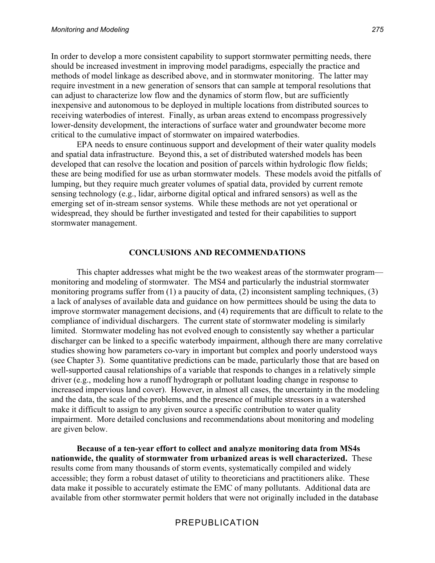In order to develop a more consistent capability to support stormwater permitting needs, there should be increased investment in improving model paradigms, especially the practice and methods of model linkage as described above, and in stormwater monitoring. The latter may require investment in a new generation of sensors that can sample at temporal resolutions that can adjust to characterize low flow and the dynamics of storm flow, but are sufficiently inexpensive and autonomous to be deployed in multiple locations from distributed sources to receiving waterbodies of interest. Finally, as urban areas extend to encompass progressively lower-density development, the interactions of surface water and groundwater become more critical to the cumulative impact of stormwater on impaired waterbodies.

EPA needs to ensure continuous support and development of their water quality models and spatial data infrastructure. Beyond this, a set of distributed watershed models has been developed that can resolve the location and position of parcels within hydrologic flow fields; these are being modified for use as urban stormwater models. These models avoid the pitfalls of lumping, but they require much greater volumes of spatial data, provided by current remote sensing technology (e.g., lidar, airborne digital optical and infrared sensors) as well as the emerging set of in-stream sensor systems. While these methods are not yet operational or widespread, they should be further investigated and tested for their capabilities to support stormwater management.

#### **CONCLUSIONS AND RECOMMENDATIONS**

This chapter addresses what might be the two weakest areas of the stormwater program monitoring and modeling of stormwater. The MS4 and particularly the industrial stormwater monitoring programs suffer from (1) a paucity of data, (2) inconsistent sampling techniques, (3) a lack of analyses of available data and guidance on how permittees should be using the data to improve stormwater management decisions, and (4) requirements that are difficult to relate to the compliance of individual dischargers. The current state of stormwater modeling is similarly limited. Stormwater modeling has not evolved enough to consistently say whether a particular discharger can be linked to a specific waterbody impairment, although there are many correlative studies showing how parameters co-vary in important but complex and poorly understood ways (see Chapter 3). Some quantitative predictions can be made, particularly those that are based on well-supported causal relationships of a variable that responds to changes in a relatively simple driver (e.g., modeling how a runoff hydrograph or pollutant loading change in response to increased impervious land cover). However, in almost all cases, the uncertainty in the modeling and the data, the scale of the problems, and the presence of multiple stressors in a watershed make it difficult to assign to any given source a specific contribution to water quality impairment. More detailed conclusions and recommendations about monitoring and modeling are given below.

**Because of a ten-year effort to collect and analyze monitoring data from MS4s nationwide, the quality of stormwater from urbanized areas is well characterized.** These results come from many thousands of storm events, systematically compiled and widely accessible; they form a robust dataset of utility to theoreticians and practitioners alike. These data make it possible to accurately estimate the EMC of many pollutants. Additional data are available from other stormwater permit holders that were not originally included in the database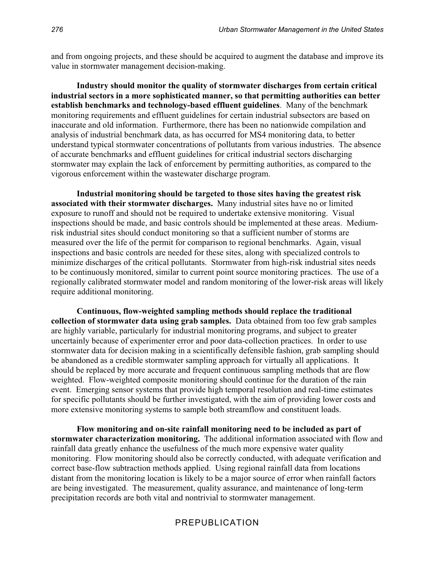and from ongoing projects, and these should be acquired to augment the database and improve its value in stormwater management decision-making.

**Industry should monitor the quality of stormwater discharges from certain critical industrial sectors in a more sophisticated manner, so that permitting authorities can better establish benchmarks and technology-based effluent guidelines**. Many of the benchmark monitoring requirements and effluent guidelines for certain industrial subsectors are based on inaccurate and old information. Furthermore, there has been no nationwide compilation and analysis of industrial benchmark data, as has occurred for MS4 monitoring data, to better understand typical stormwater concentrations of pollutants from various industries. The absence of accurate benchmarks and effluent guidelines for critical industrial sectors discharging stormwater may explain the lack of enforcement by permitting authorities, as compared to the vigorous enforcement within the wastewater discharge program.

**Industrial monitoring should be targeted to those sites having the greatest risk associated with their stormwater discharges.** Many industrial sites have no or limited exposure to runoff and should not be required to undertake extensive monitoring. Visual inspections should be made, and basic controls should be implemented at these areas. Mediumrisk industrial sites should conduct monitoring so that a sufficient number of storms are measured over the life of the permit for comparison to regional benchmarks. Again, visual inspections and basic controls are needed for these sites, along with specialized controls to minimize discharges of the critical pollutants. Stormwater from high-risk industrial sites needs to be continuously monitored, similar to current point source monitoring practices. The use of a regionally calibrated stormwater model and random monitoring of the lower-risk areas will likely require additional monitoring.

**Continuous, flow-weighted sampling methods should replace the traditional collection of stormwater data using grab samples.** Data obtained from too few grab samples are highly variable, particularly for industrial monitoring programs, and subject to greater uncertainly because of experimenter error and poor data-collection practices. In order to use stormwater data for decision making in a scientifically defensible fashion, grab sampling should be abandoned as a credible stormwater sampling approach for virtually all applications. It should be replaced by more accurate and frequent continuous sampling methods that are flow weighted. Flow-weighted composite monitoring should continue for the duration of the rain event. Emerging sensor systems that provide high temporal resolution and real-time estimates for specific pollutants should be further investigated, with the aim of providing lower costs and more extensive monitoring systems to sample both streamflow and constituent loads.

**Flow monitoring and on-site rainfall monitoring need to be included as part of stormwater characterization monitoring.** The additional information associated with flow and rainfall data greatly enhance the usefulness of the much more expensive water quality monitoring. Flow monitoring should also be correctly conducted, with adequate verification and correct base-flow subtraction methods applied. Using regional rainfall data from locations distant from the monitoring location is likely to be a major source of error when rainfall factors are being investigated. The measurement, quality assurance, and maintenance of long-term precipitation records are both vital and nontrivial to stormwater management.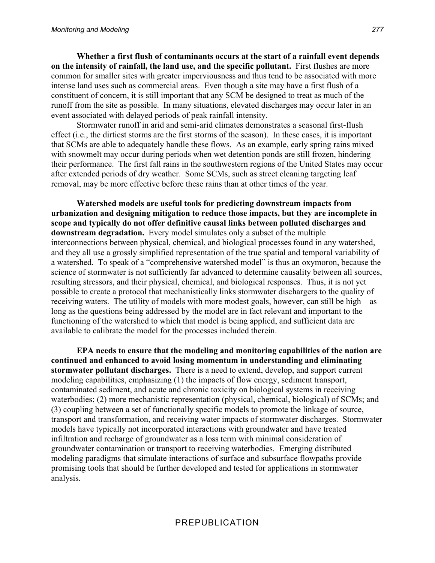**Whether a first flush of contaminants occurs at the start of a rainfall event depends on the intensity of rainfall, the land use, and the specific pollutant.** First flushes are more common for smaller sites with greater imperviousness and thus tend to be associated with more intense land uses such as commercial areas. Even though a site may have a first flush of a constituent of concern, it is still important that any SCM be designed to treat as much of the runoff from the site as possible. In many situations, elevated discharges may occur later in an event associated with delayed periods of peak rainfall intensity.

Stormwater runoff in arid and semi-arid climates demonstrates a seasonal first-flush effect (i.e., the dirtiest storms are the first storms of the season). In these cases, it is important that SCMs are able to adequately handle these flows. As an example, early spring rains mixed with snowmelt may occur during periods when wet detention ponds are still frozen, hindering their performance. The first fall rains in the southwestern regions of the United States may occur after extended periods of dry weather. Some SCMs, such as street cleaning targeting leaf removal, may be more effective before these rains than at other times of the year.

**Watershed models are useful tools for predicting downstream impacts from urbanization and designing mitigation to reduce those impacts, but they are incomplete in scope and typically do not offer definitive causal links between polluted discharges and downstream degradation.** Every model simulates only a subset of the multiple interconnections between physical, chemical, and biological processes found in any watershed, and they all use a grossly simplified representation of the true spatial and temporal variability of a watershed. To speak of a "comprehensive watershed model" is thus an oxymoron, because the science of stormwater is not sufficiently far advanced to determine causality between all sources, resulting stressors, and their physical, chemical, and biological responses. Thus, it is not yet possible to create a protocol that mechanistically links stormwater dischargers to the quality of receiving waters. The utility of models with more modest goals, however, can still be high—as long as the questions being addressed by the model are in fact relevant and important to the functioning of the watershed to which that model is being applied, and sufficient data are available to calibrate the model for the processes included therein.

**EPA needs to ensure that the modeling and monitoring capabilities of the nation are continued and enhanced to avoid losing momentum in understanding and eliminating stormwater pollutant discharges.** There is a need to extend, develop, and support current modeling capabilities, emphasizing (1) the impacts of flow energy, sediment transport, contaminated sediment, and acute and chronic toxicity on biological systems in receiving waterbodies; (2) more mechanistic representation (physical, chemical, biological) of SCMs; and (3) coupling between a set of functionally specific models to promote the linkage of source, transport and transformation, and receiving water impacts of stormwater discharges. Stormwater models have typically not incorporated interactions with groundwater and have treated infiltration and recharge of groundwater as a loss term with minimal consideration of groundwater contamination or transport to receiving waterbodies. Emerging distributed modeling paradigms that simulate interactions of surface and subsurface flowpaths provide promising tools that should be further developed and tested for applications in stormwater analysis.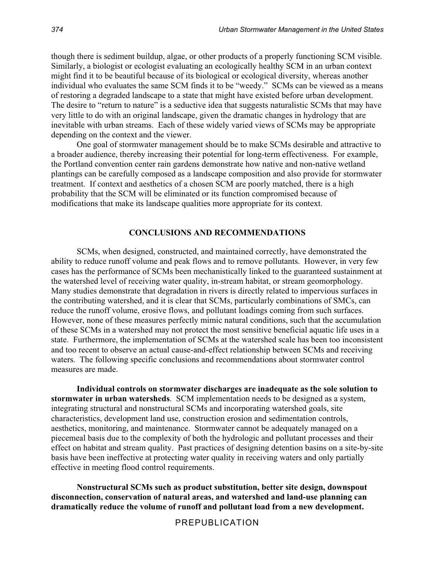though there is sediment buildup, algae, or other products of a properly functioning SCM visible. Similarly, a biologist or ecologist evaluating an ecologically healthy SCM in an urban context might find it to be beautiful because of its biological or ecological diversity, whereas another individual who evaluates the same SCM finds it to be "weedy." SCMs can be viewed as a means of restoring a degraded landscape to a state that might have existed before urban development. The desire to "return to nature" is a seductive idea that suggests naturalistic SCMs that may have very little to do with an original landscape, given the dramatic changes in hydrology that are inevitable with urban streams. Each of these widely varied views of SCMs may be appropriate depending on the context and the viewer.

One goal of stormwater management should be to make SCMs desirable and attractive to a broader audience, thereby increasing their potential for long-term effectiveness. For example, the Portland convention center rain gardens demonstrate how native and non-native wetland plantings can be carefully composed as a landscape composition and also provide for stormwater treatment. If context and aesthetics of a chosen SCM are poorly matched, there is a high probability that the SCM will be eliminated or its function compromised because of modifications that make its landscape qualities more appropriate for its context.

#### **CONCLUSIONS AND RECOMMENDATIONS**

SCMs, when designed, constructed, and maintained correctly, have demonstrated the ability to reduce runoff volume and peak flows and to remove pollutants. However, in very few cases has the performance of SCMs been mechanistically linked to the guaranteed sustainment at the watershed level of receiving water quality, in-stream habitat, or stream geomorphology. Many studies demonstrate that degradation in rivers is directly related to impervious surfaces in the contributing watershed, and it is clear that SCMs, particularly combinations of SMCs, can reduce the runoff volume, erosive flows, and pollutant loadings coming from such surfaces. However, none of these measures perfectly mimic natural conditions, such that the accumulation of these SCMs in a watershed may not protect the most sensitive beneficial aquatic life uses in a state. Furthermore, the implementation of SCMs at the watershed scale has been too inconsistent and too recent to observe an actual cause-and-effect relationship between SCMs and receiving waters. The following specific conclusions and recommendations about stormwater control measures are made.

**Individual controls on stormwater discharges are inadequate as the sole solution to stormwater in urban watersheds**. SCM implementation needs to be designed as a system, integrating structural and nonstructural SCMs and incorporating watershed goals, site characteristics, development land use, construction erosion and sedimentation controls, aesthetics, monitoring, and maintenance. Stormwater cannot be adequately managed on a piecemeal basis due to the complexity of both the hydrologic and pollutant processes and their effect on habitat and stream quality. Past practices of designing detention basins on a site-by-site basis have been ineffective at protecting water quality in receiving waters and only partially effective in meeting flood control requirements.

**Nonstructural SCMs such as product substitution, better site design, downspout disconnection, conservation of natural areas, and watershed and land-use planning can dramatically reduce the volume of runoff and pollutant load from a new development.**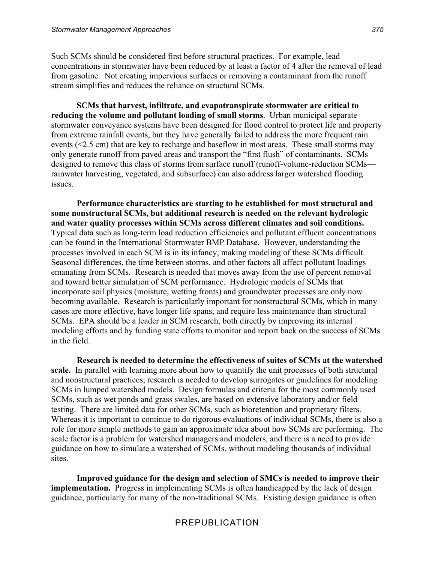Such SCMs should be considered first before structural practices. For example, lead concentrations in stormwater have been reduced by at least a factor of 4 after the removal of lead from gasoline. Not creating impervious surfaces or removing a contaminant from the runoff stream simplifies and reduces the reliance on structural SCMs.

**SCMs that harvest, infiltrate, and evapotranspirate stormwater are critical to reducing the volume and pollutant loading of small storms**. Urban municipal separate stormwater conveyance systems have been designed for flood control to protect life and property from extreme rainfall events, but they have generally failed to address the more frequent rain events (<2.5 cm) that are key to recharge and baseflow in most areas. These small storms may only generate runoff from paved areas and transport the "first flush" of contaminants. SCMs designed to remove this class of storms from surface runoff (runoff-volume-reduction SCMs rainwater harvesting, vegetated, and subsurface) can also address larger watershed flooding issues.

**Performance characteristics are starting to be established for most structural and some nonstructural SCMs, but additional research is needed on the relevant hydrologic and water quality processes within SCMs across different climates and soil conditions.**  Typical data such as long-term load reduction efficiencies and pollutant effluent concentrations can be found in the International Stormwater BMP Database. However, understanding the processes involved in each SCM is in its infancy, making modeling of these SCMs difficult. Seasonal differences, the time between storms, and other factors all affect pollutant loadings emanating from SCMs. Research is needed that moves away from the use of percent removal and toward better simulation of SCM performance. Hydrologic models of SCMs that incorporate soil physics (moisture, wetting fronts) and groundwater processes are only now becoming available. Research is particularly important for nonstructural SCMs, which in many cases are more effective, have longer life spans, and require less maintenance than structural SCMs. EPA should be a leader in SCM research, both directly by improving its internal modeling efforts and by funding state efforts to monitor and report back on the success of SCMs in the field.

**Research is needed to determine the effectiveness of suites of SCMs at the watershed scale.** In parallel with learning more about how to quantify the unit processes of both structural and nonstructural practices, research is needed to develop surrogates or guidelines for modeling SCMs in lumped watershed models. Design formulas and criteria for the most commonly used SCMs, such as wet ponds and grass swales, are based on extensive laboratory and/or field testing. There are limited data for other SCMs, such as bioretention and proprietary filters. Whereas it is important to continue to do rigorous evaluations of individual SCMs, there is also a role for more simple methods to gain an approximate idea about how SCMs are performing. The scale factor is a problem for watershed managers and modelers, and there is a need to provide guidance on how to simulate a watershed of SCMs, without modeling thousands of individual sites.

**Improved guidance for the design and selection of SMCs is needed to improve their implementation.** Progress in implementing SCMs is often handicapped by the lack of design guidance, particularly for many of the non-traditional SCMs. Existing design guidance is often